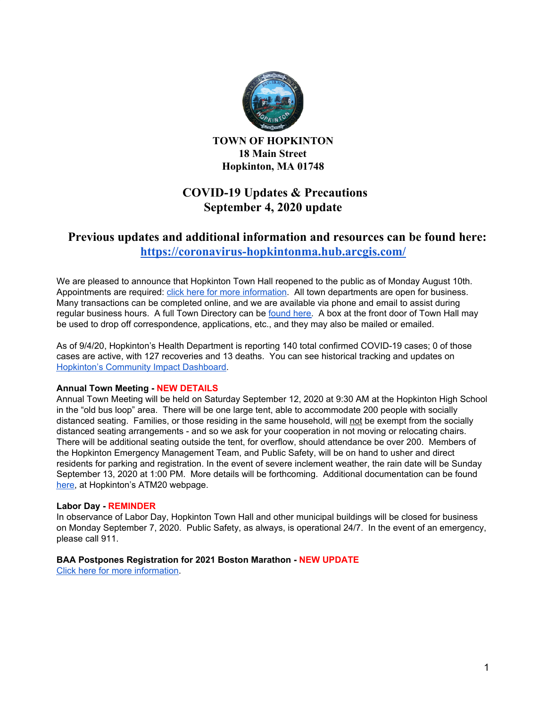

**TOWN OF HOPKINTON 18 Main Street Hopkinton, MA 01748**

# **COVID-19 Updates & Precautions September 4, 2020 update**

## **Previous updates and additional information and resources can be found here: <https://coronavirus-hopkintonma.hub.arcgis.com/>**

We are pleased to announce that Hopkinton Town Hall reopened to the public as of Monday August 10th. Appointments are required: click here for more [information](https://www.hopkintonma.gov/Hopkinton%20Town%20Hall%20Reopening%20Plan%208-7-2020.pdf). All town departments are open for business. Many transactions can be completed online, and we are available via phone and email to assist during regular business hours. A full Town Directory can be [found](https://www.hopkintonma.gov/departments/index.php) here. A box at the front door of Town Hall may be used to drop off correspondence, applications, etc., and they may also be mailed or emailed.

As of 9/4/20, Hopkinton's Health Department is reporting 140 total confirmed COVID-19 cases; 0 of those cases are active, with 127 recoveries and 13 deaths. You can see historical tracking and updates on [Hopkinton's](https://hopkintonma.maps.arcgis.com/apps/opsdashboard/index.html#/01aa244939e540aeb2991ec71392d431) Community Impact Dashboard.

### **Annual Town Meeting - NEW DETAILS**

Annual Town Meeting will be held on Saturday September 12, 2020 at 9:30 AM at the Hopkinton High School in the "old bus loop" area. There will be one large tent, able to accommodate 200 people with socially distanced seating. Families, or those residing in the same household, will not be exempt from the socially distanced seating arrangements - and so we ask for your cooperation in not moving or relocating chairs. There will be additional seating outside the tent, for overflow, should attendance be over 200. Members of the Hopkinton Emergency Management Team, and Public Safety, will be on hand to usher and direct residents for parking and registration. In the event of severe inclement weather, the rain date will be Sunday September 13, 2020 at 1:00 PM. More details will be forthcoming. Additional documentation can be found [here](https://www.hopkintonma.gov/eGovernment1/annual_town_meeting_2020.php), at Hopkinton's ATM20 webpage.

#### **Labor Day - REMINDER**

In observance of Labor Day, Hopkinton Town Hall and other municipal buildings will be closed for business on Monday September 7, 2020. Public Safety, as always, is operational 24/7. In the event of an emergency, please call 911.

### **BAA Postpones Registration for 2021 Boston Marathon - NEW UPDATE**

Click here for more [information](https://www.baa.org/baa-announces-covid-19-medical-event-operations-advisory-group-postpones-registration-2021-boston).